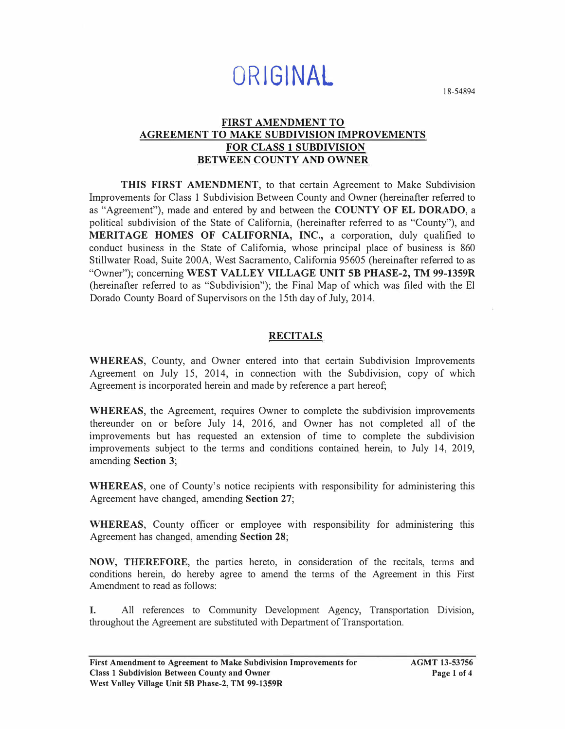# **ORIGINAL**

18-54894

#### **FIRST AMENDMENT TO AGREEMENT TO MAKE SUBDIVISION IMPROVEMENTS FOR CLASS 1 SUBDIVISION BETWEEN COUNTY AND OWNER**

**THIS FIRST AMENDMENT,** to that certain Agreement to Make Subdivision Improvements for Class 1 Subdivision Between County and Owner (hereinafter refened to as "Agreement"), made and entered by and between the **COUNTY OF EL DORADO,** a political subdivision of the State of California, (hereinafter referred to as "County"), and **MERITAGE HOMES OF CALIFORNIA, INC.,** a corporation, duly qualified to conduct business in the State of California, whose principal place of business is 860 Stillwater Road, Suite 200A, West Sacramento, California 95605 (hereinafter refened to as "Owner"); concerning **WEST VALLEY VILLAGE UNIT SB PHASE-2, TM 99-1359R**  (hereinafter referred to as "Subdivision"); the Final Map of which was filed with the El Dorado County Board of Supervisors on the 15th day of July, 2014.

### **RECITALS**

**WHEREAS,** County, and Owner entered into that certain Subdivision Improvements Agreement on July 15, 2014, in connection with the Subdivision, copy of which Agreement is incorporated herein and made by reference a part hereof;

**WHEREAS,** the Agreement, requires Owner to complete the subdivision improvements thereunder on or before July 14, 2016, and Owner has not completed all of the improvements but has requested an extension of time to complete the subdivision improvements subject to the terms and conditions contained herein, to July 14, 2019, amending **Section 3;** 

**WHEREAS,** one of County's notice recipients with responsibility for administering this Agreement have changed, amending **Section 27;** 

**WHEREAS,** County officer or employee with responsibility for administering this Agreement has changed, amending **Section 28;** 

**NOW, THEREFORE,** the parties hereto, in consideration of the recitals, tenns and conditions herein, do hereby agree to amend the terms of the Agreement in this First Amendment to read as follows:

I. All references to Community Development Agency, Transportation Division, throughout the Agreement are substituted with Department of Transportation.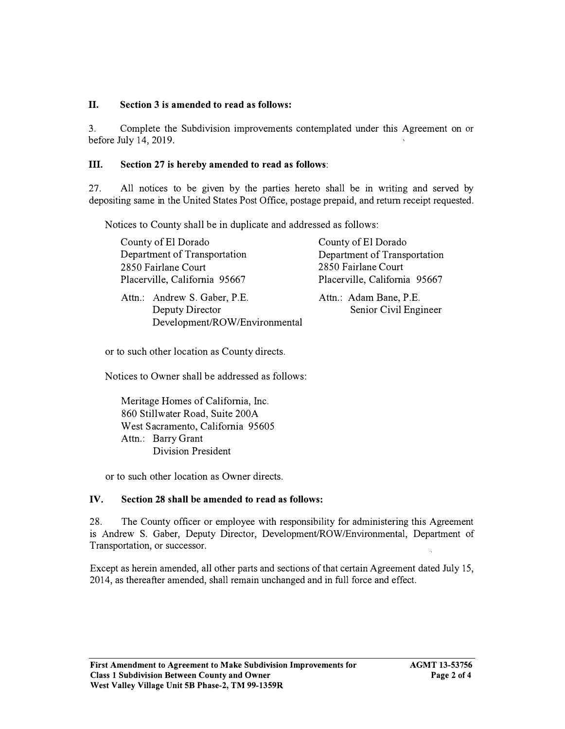#### II. **Section 3 is amended to read as follows:**

3. Complete the Subdivision improvements contemplated under this Agreement on or before July 14, 2019.

#### III. **Section 27 is hereby amended to read as follows:**

27. All notices to be given by the parties hereto shall be in writing and served by depositing same in the United States Post Office, postage prepaid, and return receipt requested.

Notices to County shall be in duplicate and addressed as follows:

| County of El Dorado                                                              | County of El Dorado                             |
|----------------------------------------------------------------------------------|-------------------------------------------------|
| Department of Transportation                                                     | Department of Transportation                    |
| 2850 Fairlane Court                                                              | 2850 Fairlane Court                             |
| Placerville, California 95667                                                    | Placerville, California 95667                   |
| Attn.: Andrew S. Gaber, P.E.<br>Deputy Director<br>Development/ROW/Environmental | Attn.: Adam Bane, P.E.<br>Senior Civil Engineer |

or to such other location as County directs.

Notices to Owner shall be addressed as follows:

Meritage Homes of California, Inc. 860 Stillwater Road, Suite 200A West Sacramento, California 95605 Attn.: Barry Grant Division President

or to such other location as Owner directs.

#### **IV. Section 28 shall be amended to read as follows:**

28. The County officer or employee with responsibility for administering this Agreement is Andrew S. Gaber, Deputy Director, Development/ROW/Environmental, Department of Transportation, or successor.

Except as herein amended, all other parts and sections of that certain Agreement dated July 15, 2014, as thereafter amended, shall remain unchanged and in full force and effect.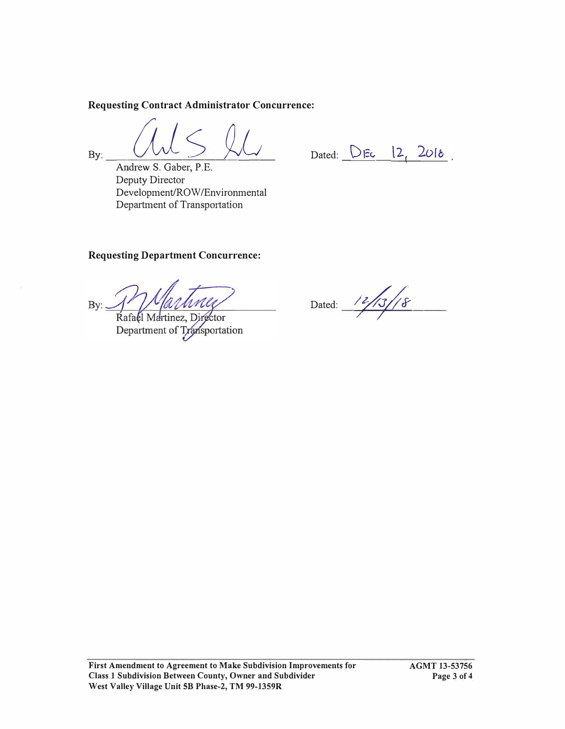**Requesting Contract Administrator Concurrence:** 

**By:**  $\frac{V}{V}$  **Andrew S. Gaber, P.E.** 

Dated:  $\bigcup$   $\vdash$   $\vdash$   $\downarrow$   $\downarrow$   $\downarrow$   $\downarrow$   $\downarrow$   $\downarrow$   $\downarrow$   $\downarrow$   $\downarrow$   $\downarrow$   $\downarrow$   $\downarrow$   $\downarrow$   $\downarrow$   $\downarrow$   $\downarrow$   $\downarrow$   $\downarrow$   $\downarrow$   $\downarrow$   $\downarrow$   $\downarrow$   $\downarrow$   $\downarrow$   $\downarrow$   $\downarrow$   $\downarrow$   $\downarrow$   $\downarrow$   $\downarrow$   $\downarrow$   $\downarrow$   $\downarrow$ 

Deputy Director Development/ROW/Environmental Department of Transportation

## **Requesting Department Concurrence:**

By:

Rafael Martinez, Director Department of Transportation

Dated: /2//3//8  $-$ 7.  $-$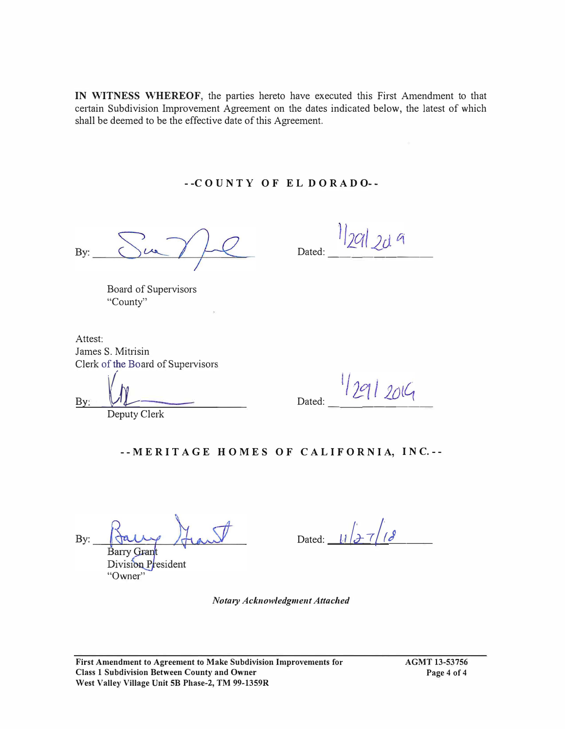**IN WITNESS WHEREOF,** the patties hereto have executed this First Amendment to that certain Subdivision Improvement Agreement on the dates indicated below, the latest of which shall be deemed to be the effective date of this Agreement.

#### **- -C O U N T Y O F E L D O RAD 0- -**

By:

 $D_{\text{ated}:} = \frac{1}{2} |20| |20|$ 

Board of Supervisors "County"

Attest: James S. Mitrisin Clerk of the Board of Supervisors

By: Dated: Dated: Dated: Placed: 2014

**- - ME RI T A G E H O ME S O F C AL I F O RN I A, I N C. - -**

By: Barry Grant

Division President "Owner"

Dated:  $\frac{1}{\sqrt{2}}$   $\frac{1}{3}$ 

*Nota,y Acknowledgment Attached*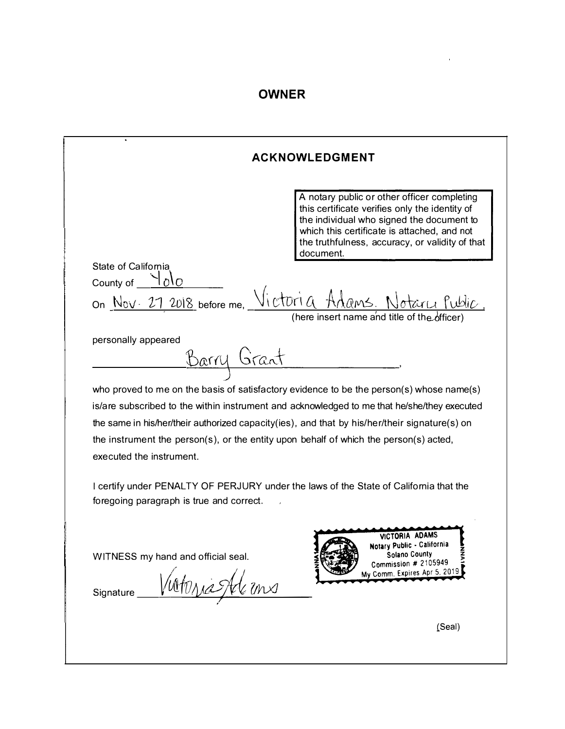# **OWNER**

l,

| <b>ACKNOWLEDGMENT</b>                                                                 |                                                                                                                                                                                                                                                           |
|---------------------------------------------------------------------------------------|-----------------------------------------------------------------------------------------------------------------------------------------------------------------------------------------------------------------------------------------------------------|
|                                                                                       | A notary public or other officer completing<br>this certificate verifies only the identity of<br>the individual who signed the document to<br>which this certificate is attached, and not<br>the truthfulness, accuracy, or validity of that<br>document. |
| <b>State of California</b>                                                            |                                                                                                                                                                                                                                                           |
| County of                                                                             | on <u>Nov. 27 2018</u> before me, Victoria Adams, Notary Public<br>(here insert name and title of the                                                                                                                                                     |
| personally appeared<br><u>Barry Grant</u>                                             |                                                                                                                                                                                                                                                           |
|                                                                                       |                                                                                                                                                                                                                                                           |
|                                                                                       | who proved to me on the basis of satisfactory evidence to be the person(s) whose name(s)<br>is/are subscribed to the within instrument and acknowledged to me that he/she/they executed                                                                   |
|                                                                                       | the same in his/her/their authorized capacity(ies), and that by his/her/their signature(s) on                                                                                                                                                             |
| the instrument the person(s), or the entity upon behalf of which the person(s) acted, |                                                                                                                                                                                                                                                           |
| executed the instrument.                                                              |                                                                                                                                                                                                                                                           |
| foregoing paragraph is true and correct.                                              | I certify under PENALTY OF PERJURY under the laws of the State of California that the                                                                                                                                                                     |
| WITNESS my hand and official seal.<br>Signature                                       | VICTORIA ADAMS<br><b>Notary Public - California</b><br><b>Solano County</b><br>Commission # 2105949<br>My Comm. Expires Apr 5, 2019                                                                                                                       |
|                                                                                       |                                                                                                                                                                                                                                                           |
|                                                                                       |                                                                                                                                                                                                                                                           |